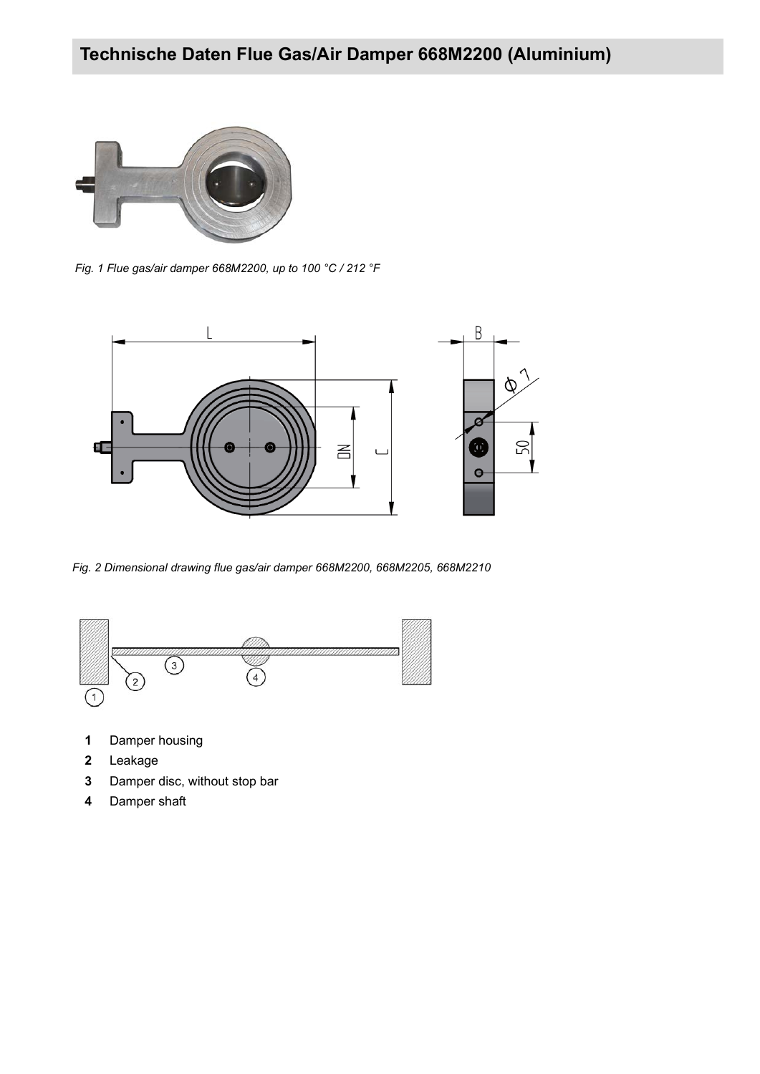

*Fig. 1 Flue gas/air damper 668M2200, up to 100 °C / 212 °F*



*Fig. 2 Dimensional drawing flue gas/air damper 668M2200, 668M2205, 668M2210*



- **1** Damper housing
- **2** Leakage
- **3** Damper disc, without stop bar
- **4** Damper shaft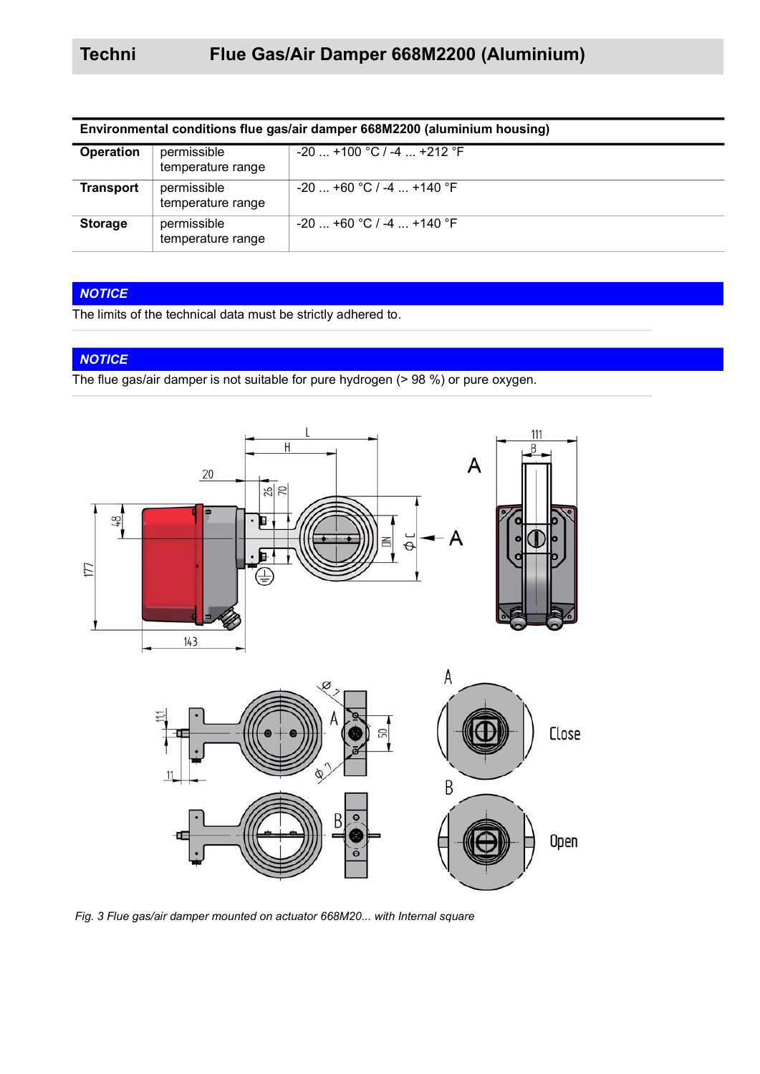| Environmental conditions flue gas/air damper 668M2200 (aluminium housing) |                                  |                             |  |  |
|---------------------------------------------------------------------------|----------------------------------|-----------------------------|--|--|
| <b>Operation</b>                                                          | permissible<br>temperature range | $-20$ +100 °C / -4  +212 °F |  |  |
| <b>Transport</b>                                                          | permissible<br>temperature range | $-20$ +60 °C / -4  +140 °F  |  |  |
| <b>Storage</b>                                                            | permissible<br>temperature range | $-20$ +60 °C / -4  +140 °F  |  |  |

### *NOTICE*

The limits of the technical data must be strictly adhered to.

### *NOTICE*

The flue gas/air damper is not suitable for pure hydrogen (> 98 %) or pure oxygen.



*Fig. 3 Flue gas/air damper mounted on actuator 668M20... with Internal square*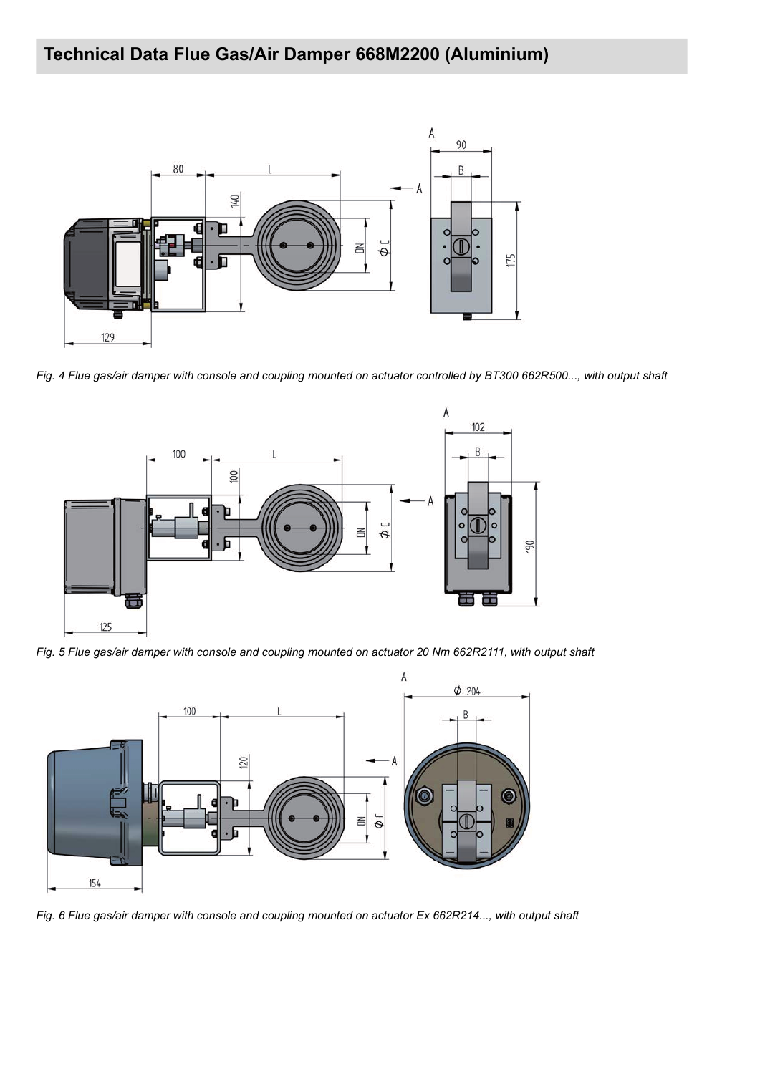

*Fig. 4 Flue gas/air damper with console and coupling mounted on actuator controlled by BT300 662R500..., with output shaft*



*Fig. 5 Flue gas/air damper with console and coupling mounted on actuator 20 Nm 662R2111, with output shaft*



*Fig. 6 Flue gas/air damper with console and coupling mounted on actuator Ex 662R214..., with output shaft*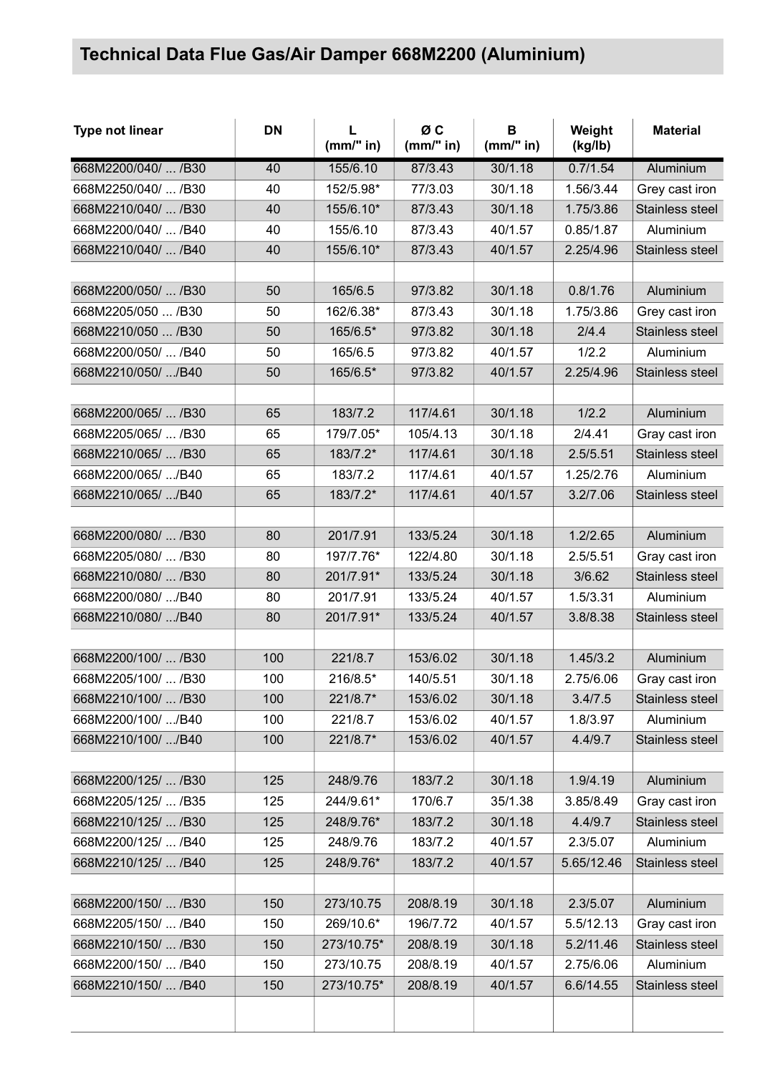| <b>Type not linear</b> | <b>DN</b> | L<br>(mm" in) | ØC<br>(mm" in) | B<br>(mm" in) | Weight<br>(kg/lb) | <b>Material</b> |
|------------------------|-----------|---------------|----------------|---------------|-------------------|-----------------|
| 668M2200/040/  /B30    | 40        | 155/6.10      | 87/3.43        | 30/1.18       | 0.7/1.54          | Aluminium       |
| 668M2250/040/  /B30    | 40        | 152/5.98*     | 77/3.03        | 30/1.18       | 1.56/3.44         | Grey cast iron  |
| 668M2210/040/  /B30    | 40        | 155/6.10*     | 87/3.43        | 30/1.18       | 1.75/3.86         | Stainless steel |
| 668M2200/040/  /B40    | 40        | 155/6.10      | 87/3.43        | 40/1.57       | 0.85/1.87         | Aluminium       |
| 668M2210/040/  /B40    | 40        | 155/6.10*     | 87/3.43        | 40/1.57       | 2.25/4.96         | Stainless steel |
|                        |           |               |                |               |                   |                 |
| 668M2200/050/  /B30    | 50        | 165/6.5       | 97/3.82        | 30/1.18       | 0.8/1.76          | Aluminium       |
| 668M2205/050  /B30     | 50        | 162/6.38*     | 87/3.43        | 30/1.18       | 1.75/3.86         | Grey cast iron  |
| 668M2210/050  /B30     | 50        | 165/6.5*      | 97/3.82        | 30/1.18       | 2/4.4             | Stainless steel |
| 668M2200/050/  /B40    | 50        | 165/6.5       | 97/3.82        | 40/1.57       | 1/2.2             | Aluminium       |
| 668M2210/050/ /B40     | 50        | 165/6.5*      | 97/3.82        | 40/1.57       | 2.25/4.96         | Stainless steel |
|                        |           |               |                |               |                   |                 |
| 668M2200/065/  /B30    | 65        | 183/7.2       | 117/4.61       | 30/1.18       | 1/2.2             | Aluminium       |
| 668M2205/065/  /B30    | 65        | 179/7.05*     | 105/4.13       | 30/1.18       | 2/4.41            | Gray cast iron  |
| 668M2210/065/  /B30    | 65        | 183/7.2*      | 117/4.61       | 30/1.18       | 2.5/5.51          | Stainless steel |
| 668M2200/065/ /B40     | 65        | 183/7.2       | 117/4.61       | 40/1.57       | 1.25/2.76         | Aluminium       |
| 668M2210/065/ /B40     | 65        | 183/7.2*      | 117/4.61       | 40/1.57       | 3.2/7.06          | Stainless steel |
|                        |           |               |                |               |                   |                 |
| 668M2200/080/  /B30    | 80        | 201/7.91      | 133/5.24       | 30/1.18       | 1.2/2.65          | Aluminium       |
| 668M2205/080/  /B30    | 80        | 197/7.76*     | 122/4.80       | 30/1.18       | 2.5/5.51          | Gray cast iron  |
| 668M2210/080/  /B30    | 80        | 201/7.91*     | 133/5.24       | 30/1.18       | 3/6.62            | Stainless steel |
| 668M2200/080/ /B40     | 80        | 201/7.91      | 133/5.24       | 40/1.57       | 1.5/3.31          | Aluminium       |
| 668M2210/080/ /B40     | 80        | 201/7.91*     | 133/5.24       | 40/1.57       | 3.8/8.38          | Stainless steel |
|                        |           |               |                |               |                   |                 |
| 668M2200/100/  /B30    | 100       | 221/8.7       | 153/6.02       | 30/1.18       | 1.45/3.2          | Aluminium       |
| 668M2205/100/  /B30    | 100       | 216/8.5*      | 140/5.51       | 30/1.18       | 2.75/6.06         | Gray cast iron  |
| 668M2210/100/  /B30    | 100       | 221/8.7*      | 153/6.02       | 30/1.18       | 3.4/7.5           | Stainless steel |
| 668M2200/100/ /B40     | 100       | 221/8.7       | 153/6.02       | 40/1.57       | 1.8/3.97          | Aluminium       |
| 668M2210/100/ /B40     | 100       | 221/8.7*      | 153/6.02       | 40/1.57       | 4.4/9.7           | Stainless steel |
|                        |           |               |                |               |                   |                 |
| 668M2200/125/  /B30    | 125       | 248/9.76      | 183/7.2        | 30/1.18       | 1.9/4.19          | Aluminium       |
| 668M2205/125/  /B35    | 125       | 244/9.61*     | 170/6.7        | 35/1.38       | 3.85/8.49         | Gray cast iron  |
| 668M2210/125/  /B30    | 125       | 248/9.76*     | 183/7.2        | 30/1.18       | 4.4/9.7           | Stainless steel |
| 668M2200/125/  /B40    | 125       | 248/9.76      | 183/7.2        | 40/1.57       | 2.3/5.07          | Aluminium       |
| 668M2210/125/  /B40    | 125       | 248/9.76*     | 183/7.2        | 40/1.57       | 5.65/12.46        | Stainless steel |
|                        |           |               |                |               |                   |                 |
| 668M2200/150/  /B30    | 150       | 273/10.75     | 208/8.19       | 30/1.18       | 2.3/5.07          | Aluminium       |
| 668M2205/150/  /B40    | 150       | 269/10.6*     | 196/7.72       | 40/1.57       | 5.5/12.13         | Gray cast iron  |
| 668M2210/150/  /B30    | 150       | 273/10.75*    | 208/8.19       | 30/1.18       | 5.2/11.46         | Stainless steel |
| 668M2200/150/  /B40    | 150       | 273/10.75     | 208/8.19       | 40/1.57       | 2.75/6.06         | Aluminium       |
| 668M2210/150/  /B40    | 150       | 273/10.75*    | 208/8.19       | 40/1.57       | 6.6/14.55         | Stainless steel |
|                        |           |               |                |               |                   |                 |
|                        |           |               |                |               |                   |                 |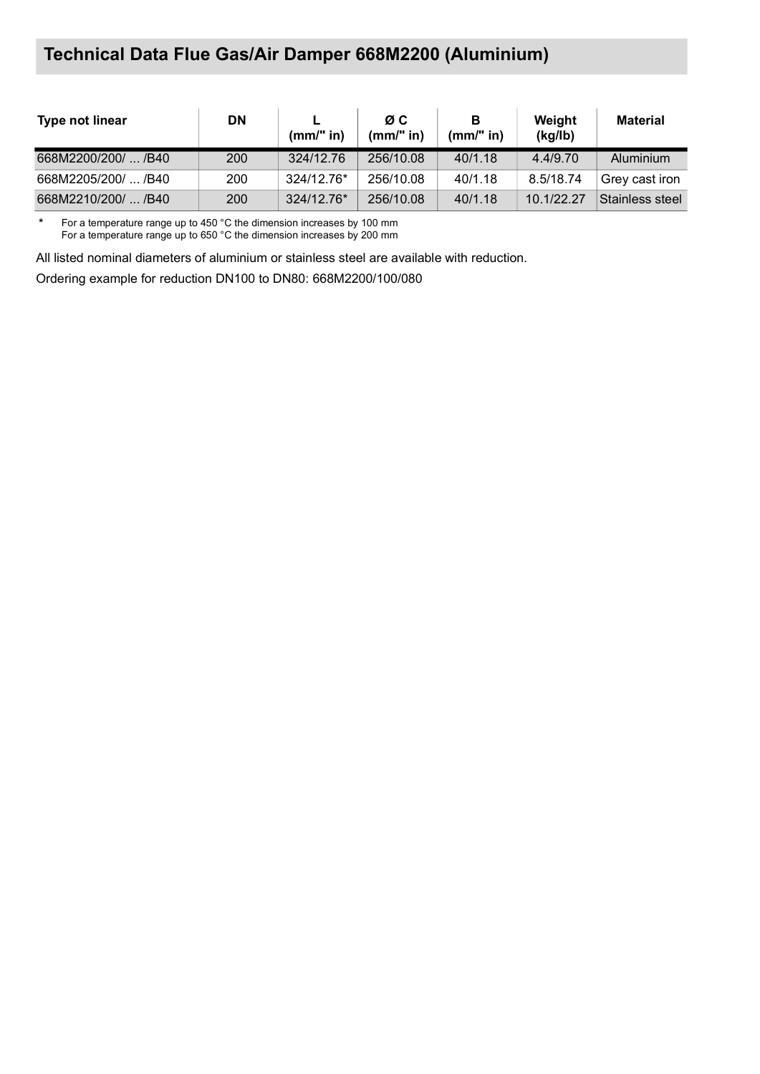| <b>Type not linear</b> | <b>DN</b> | $(mm)$ " in) | ØC.<br>(mm/" in) | в<br>(mm/" in) | Weight<br>(kg/lb) | <b>Material</b> |
|------------------------|-----------|--------------|------------------|----------------|-------------------|-----------------|
| 668M2200/200/  /B40    | 200       | 324/12.76    | 256/10.08        | 40/1.18        | 4.4/9.70          | Aluminium       |
| 668M2205/200/  /B40    | 200       | 324/12.76*   | 256/10.08        | 40/1.18        | 8.5/18.74         | Grev cast iron  |
| 668M2210/200/  /B40    | 200       | 324/12.76*   | 256/10.08        | 40/1.18        | 10.1/22.27        | Stainless steel |

\* For a temperature range up to 450 °C the dimension increases by 100 mm For a temperature range up to 650 °C the dimension increases by 200 mm

All listed nominal diameters of aluminium or stainless steel are available with reduction.

Ordering example for reduction DN100 to DN80: 668M2200/100/080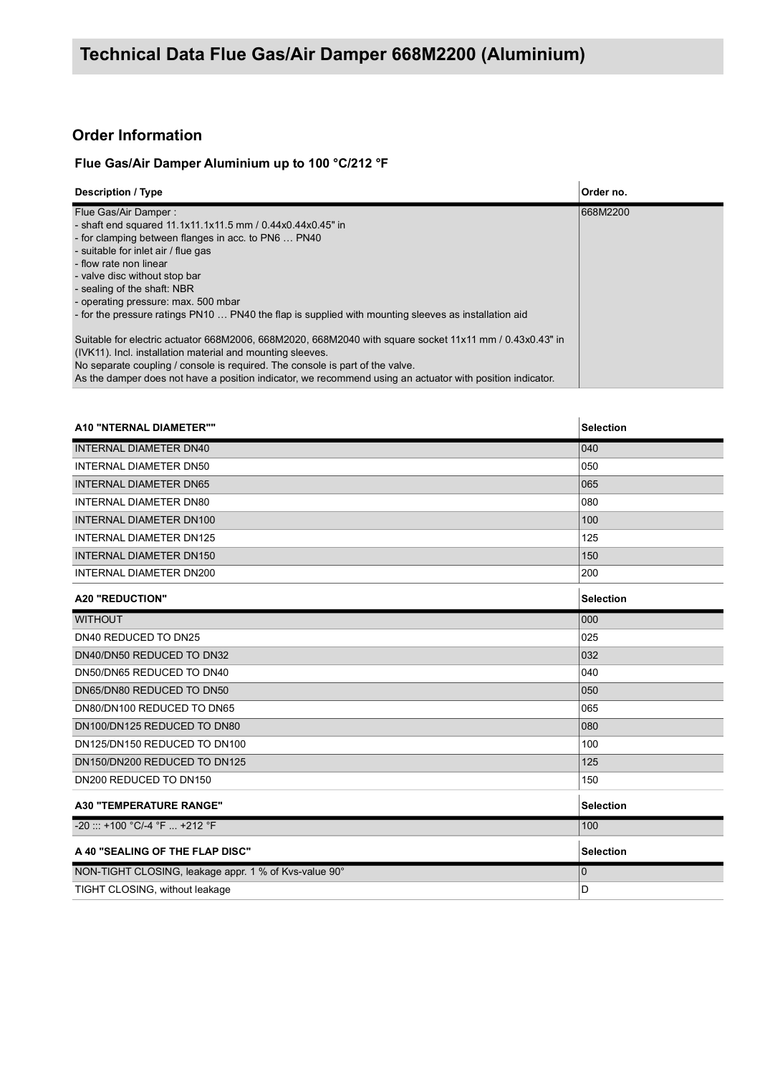### **Order Information**

### **Flue Gas/Air Damper Aluminium up to 100 °C/212 °F**

| <b>Description / Type</b>                                                                                 | Order no. |
|-----------------------------------------------------------------------------------------------------------|-----------|
| Flue Gas/Air Damper:                                                                                      | 668M2200  |
| - shaft end squared 11.1x11.1x11.5 mm / 0.44x0.44x0.45" in                                                |           |
| - for clamping between flanges in acc. to PN6  PN40                                                       |           |
| - suitable for inlet air / flue gas                                                                       |           |
| - flow rate non linear                                                                                    |           |
| - valve disc without stop bar                                                                             |           |
| - sealing of the shaft: NBR                                                                               |           |
| - operating pressure: max. 500 mbar                                                                       |           |
| - for the pressure ratings PN10  PN40 the flap is supplied with mounting sleeves as installation aid      |           |
|                                                                                                           |           |
| Suitable for electric actuator 668M2006, 668M2020, 668M2040 with square socket 11x11 mm / 0.43x0.43" in   |           |
| (IVK11). Incl. installation material and mounting sleeves.                                                |           |
| No separate coupling / console is required. The console is part of the valve.                             |           |
| As the damper does not have a position indicator, we recommend using an actuator with position indicator. |           |

| <b>A10 "NTERNAL DIAMETER""</b>                        | <b>Selection</b> |
|-------------------------------------------------------|------------------|
| <b>INTERNAL DIAMETER DN40</b>                         | 040              |
| <b>INTERNAL DIAMETER DN50</b>                         | 050              |
| <b>INTERNAL DIAMETER DN65</b>                         | 065              |
| <b>INTERNAL DIAMETER DN80</b>                         | 080              |
| <b>INTERNAL DIAMETER DN100</b>                        | 100              |
| <b>INTERNAL DIAMETER DN125</b>                        | 125              |
| <b>INTERNAL DIAMETER DN150</b>                        | 150              |
| INTERNAL DIAMETER DN200                               | 200              |
| <b>A20 "REDUCTION"</b>                                | <b>Selection</b> |
| <b>WITHOUT</b>                                        | 000              |
| DN40 REDUCED TO DN25                                  | 025              |
| DN40/DN50 REDUCED TO DN32                             | 032              |
| DN50/DN65 REDUCED TO DN40                             | 040              |
| DN65/DN80 REDUCED TO DN50                             | 050              |
| DN80/DN100 REDUCED TO DN65                            | 065              |
| DN100/DN125 REDUCED TO DN80                           | 080              |
| DN125/DN150 REDUCED TO DN100                          | 100              |
| DN150/DN200 REDUCED TO DN125                          | 125              |
| DN200 REDUCED TO DN150                                | 150              |
| <b>A30 "TEMPERATURE RANGE"</b>                        | <b>Selection</b> |
| -20 ::: +100 °C/-4 °F  +212 °F                        | 100              |
| A 40 "SEALING OF THE FLAP DISC"                       | <b>Selection</b> |
| NON-TIGHT CLOSING, leakage appr. 1 % of Kvs-value 90° | $\mathbf 0$      |
| TIGHT CLOSING, without leakage                        | D                |